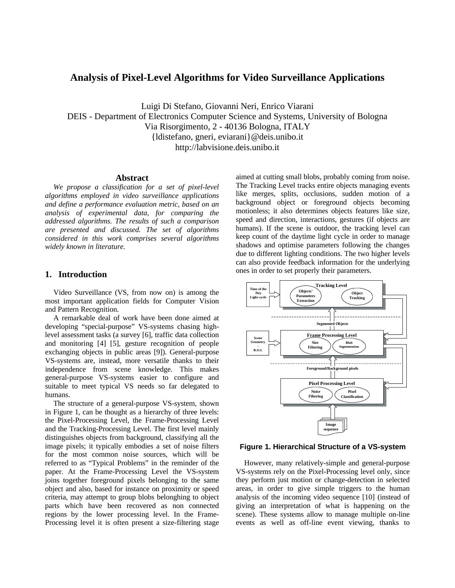# **Analysis of Pixel-Level Algorithms for Video Surveillance Applications**

Luigi Di Stefano, Giovanni Neri, Enrico Viarani DEIS - Department of Electronics Computer Science and Systems, University of Bologna Via Risorgimento, 2 - 40136 Bologna, ITALY {ldistefano, gneri, eviarani}@deis.unibo.it http://labvisione.deis.unibo.it

#### **Abstract**

*We propose a classification for a set of pixel-level algorithms employed in video surveillance applications and define a performance evaluation metric, based on an analysis of experimental data, for comparing the addressed algorithms. The results of such a comparison are presented and discussed. The set of algorithms considered in this work comprises several algorithms widely known in literature.*

# **1. Introduction**

Video Surveillance (VS, from now on) is among the most important application fields for Computer Vision and Pattern Recognition.

A remarkable deal of work have been done aimed at developing "special-purpose" VS-systems chasing highlevel assessment tasks (a survey [6], traffic data collection and monitoring [4] [5], gesture recognition of people exchanging objects in public areas [9]). General-purpose VS-systems are, instead, more versatile thanks to their independence from scene knowledge. This makes general-purpose VS-systems easier to configure and suitable to meet typical VS needs so far delegated to humans.

The structure of a general-purpose VS-system, shown in Figure 1, can be thought as a hierarchy of three levels: the Pixel-Processing Level, the Frame-Processing Level and the Tracking-Processing Level. The first level mainly distinguishes objects from background, classifying all the image pixels; it typically embodies a set of noise filters for the most common noise sources, which will be referred to as "Typical Problems" in the reminder of the paper. At the Frame-Processing Level the VS-system joins together foreground pixels belonging to the same object and also, based for instance on proximity or speed criteria, may attempt to group blobs belonghing to object parts which have been recovered as non connected regions by the lower processing level. In the Frame-Processing level it is often present a size-filtering stage

aimed at cutting small blobs, probably coming from noise. The Tracking Level tracks entire objects managing events like merges, splits, occlusions, sudden motion of a background object or foreground objects becoming motionless; it also determines objects features like size, speed and direction, interactions, gestures (if objects are humans). If the scene is outdoor, the tracking level can keep count of the daytime light cycle in order to manage shadows and optimise parameters following the changes due to different lighting conditions. The two higher levels can also provide feedback information for the underlying ones in order to set properly their parameters.



## **Figure 1. Hierarchical Structure of a VS-system**

However, many relatively-simple and general-purpose VS-systems rely on the Pixel-Processing level only, since they perform just motion or change-detection in selected areas, in order to give simple triggers to the human analysis of the incoming video sequence [10] (instead of giving an interpretation of what is happening on the scene). These systems allow to manage multiple on-line events as well as off-line event viewing, thanks to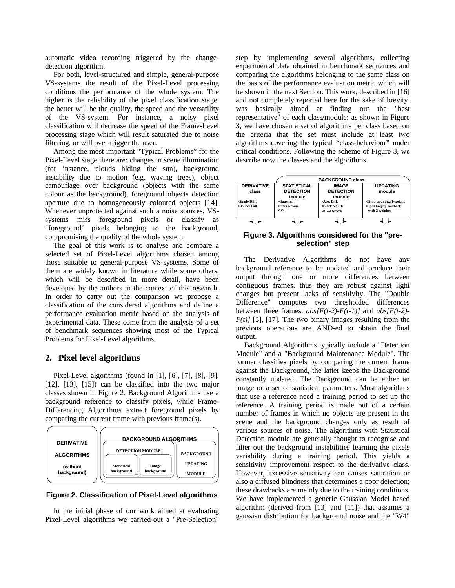automatic video recording triggered by the changedetection algorithm.

For both, level-structured and simple, general-purpose VS-systems the result of the Pixel-Level processing conditions the performance of the whole system. The higher is the reliability of the pixel classification stage, the better will be the quality, the speed and the versatility of the VS-system. For instance, a noisy pixel classification will decrease the speed of the Frame-Level processing stage which will result saturated due to noise filtering, or will over-trigger the user.

Among the most important "Typical Problems" for the Pixel-Level stage there are: changes in scene illumination (for instance, clouds hiding the sun), background instability due to motion (e.g. waving trees), object camouflage over background (objects with the same colour as the background), foreground objects detection aperture due to homogeneously coloured objects [14]. Whenever unprotected against such a noise sources, VSsystems miss foreground pixels or classify as "foreground" pixels belonging to the background, compromising the quality of the whole system.

The goal of this work is to analyse and compare a selected set of Pixel-Level algorithms chosen among those suitable to general-purpose VS-systems. Some of them are widely known in literature while some others, which will be described in more detail, have been developed by the authors in the context of this research. In order to carry out the comparison we propose a classification of the considered algorithms and define a performance evaluation metric based on the analysis of experimental data. These come from the analysis of a set of benchmark sequences showing most of the Typical Problems for Pixel-Level algorithms.

# **2. Pixel level algorithms**

Pixel-Level algorithms (found in [1], [6], [7], [8], [9], [12], [13], [15]) can be classified into the two major classes shown in Figure 2. Background Algorithms use a background reference to classify pixels, while Frame-Differencing Algorithms extract foreground pixels by comparing the current frame with previous frame(s).



**Figure 2. Classification of Pixel-Level algorithms**

In the initial phase of our work aimed at evaluating Pixel-Level algorithms we carried-out a "Pre-Selection"

step by implementing several algorithms, collecting experimental data obtained in benchmark sequences and comparing the algorithms belonging to the same class on the basis of the performance evaluation metric which will be shown in the next Section. This work, described in [16] and not completely reported here for the sake of brevity, was basically aimed at finding out the "best representative" of each class/module: as shown in Figure 3, we have chosen a set of algorithms per class based on the criteria that the set must include at least two algorithms covering the typical "class-behaviour" under critical conditions. Following the scheme of Figure 3, we describe now the classes and the algorithms.



**Figure 3. Algorithms considered for the "preselection" step**

The Derivative Algorithms do not have any background reference to be updated and produce their output through one or more differences between contiguous frames, thus they are robust against light changes but present lacks of sensitivity. The "Double computes two thresholded differences between three frames: *abs[F(t-2)-F(t-1)]* and *abs[F(t-2)-*  $F(t)$ [3], [17]. The two binary images resulting from the previous operations are AND-ed to obtain the final output.

Background Algorithms typically include a "Detection Module" and a "Background Maintenance Module". The former classifies pixels by comparing the current frame against the Background, the latter keeps the Background constantly updated. The Background can be either an image or a set of statistical parameters. Most algorithms that use a reference need a training period to set up the reference. A training period is made out of a certain number of frames in which no objects are present in the scene and the background changes only as result of various sources of noise. The algorithms with Statistical Detection module are generally thought to recognise and filter out the background instabilities learning the pixels variability during a training period. This yields a sensitivity improvement respect to the derivative class. However, excessive sensitivity can causes saturation or also a diffused blindness that determines a poor detection; these drawbacks are mainly due to the training conditions. We have implemented a generic Gaussian Model based algorithm (derived from [13] and [11]) that assumes a gaussian distribution for background noise and the "W4"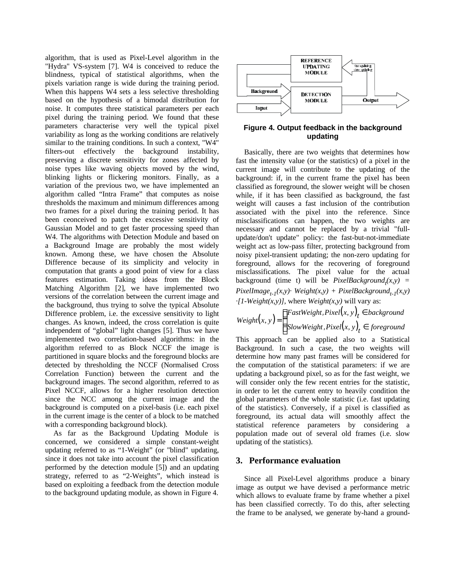algorithm, that is used as Pixel-Level algorithm in the "Hydra" VS-system [7]. W4 is conceived to reduce the blindness, typical of statistical algorithms, when the pixels variation range is wide during the training period. When this happens W4 sets a less selective thresholding based on the hypothesis of a bimodal distribution for noise. It computes three statistical parameters per each pixel during the training period. We found that these parameters characterise very well the typical pixel variability as long as the working conditions are relatively similar to the training conditions. In such a context, "W4" filters-out effectively the background instability, preserving a discrete sensitivity for zones affected by noise types like waving objects moved by the wind, blinking lights or flickering monitors. Finally, as a variation of the previous two, we have implemented an algorithm called "Intra Frame" that computes as noise thresholds the maximum and minimum differences among two frames for a pixel during the training period. It has been ceonceived to patch the excessive sensitivity of Gaussian Model and to get faster processing speed than W4. The algorithms with Detection Module and based on a Background Image are probably the most widely known. Among these, we have chosen the Absolute Difference because of its simplicity and velocity in computation that grants a good point of view for a class features estimation. Taking ideas from the Block Matching Algorithm [2], we have implemented two versions of the correlation between the current image and the background, thus trying to solve the typical Absolute Difference problem, i.e. the excessive sensitivity to light changes. As known, indeed, the cross correlation is quite independent of "global" light changes [5]. Thus we have implemented two correlation-based algorithms: in the algorithm referred to as Block NCCF the image is partitioned in square blocks and the foreground blocks are detected by thresholding the NCCF (Normalised Cross Correlation Function) between the current and the background images. The second algorithm, referred to as Pixel NCCF, allows for a higher resolution detection since the NCC among the current image and the background is computed on a pixel-basis (i.e. each pixel in the current image is the center of a block to be matched with a corresponding background block).

As far as the Background Updating Module is concerned, we considered a simple constant-weight updating referred to as "1-Weight" (or "blind" updating, since it does not take into account the pixel classification performed by the detection module [5]) and an updating strategy, referred to as "2-Weights", which instead is based on exploiting a feedback from the detection module to the background updating module, as shown in Figure 4.



# **Figure 4. Output feedback in the background updating**

Basically, there are two weights that determines how fast the intensity value (or the statistics) of a pixel in the current image will contribute to the updating of the background: if, in the current frame the pixel has been classified as foreground, the slower weight will be chosen while, if it has been classified as background, the fast weight will causes a fast inclusion of the contribution associated with the pixel into the reference. Since misclassifications can happen, the two weights are necessary and cannot be replaced by a trivial "fullupdate/don't update" policy: the fast-but-not-immediate weight act as low-pass filter, protecting background from noisy pixel-transient updating; the non-zero updating for foreground, allows for the recovering of foreground misclassifications. The pixel value for the actual background (time t) will be  $PixelBackground<sub>t</sub>(x, y)$  = *PixelImage*<sub>t-1</sub>(*x,y*)· *Weight*(*x,y*) + *PixelBackground*<sub>t-1</sub>(*x,y*) *·[1-Weight(x,y)]*, where *Weight(x,y)* will vary as:

 $(x, y)$  $(x, y)$  $\Big[$ *SlowWeight*,  $Pixel(x, y)$ <sub>l</sub>  $\mathbf{I}$ {  $\overline{\phantom{a}}$ ∈ ∈ =  $\textit{SlowWeight}, \textit{Pixel}(x, y)_t \in \textit{foreground}$ *f* astWeight, Pixel $(x, y)_t \in$  background *Weight* $(x, y)$ , , , , ,

This approach can be applied also to a Statistical Background. In such a case, the two weights will determine how many past frames will be considered for the computation of the statistical parameters: if we are updating a background pixel, so as for the fast weight, we will consider only the few recent entries for the statistic, in order to let the current entry to heavily condition the global parameters of the whole statistic (i.e. fast updating of the statistics). Conversely, if a pixel is classified as foreground, its actual data will smoothly affect the statistical reference parameters by considering a population made out of several old frames (i.e. slow updating of the statistics).

# **3. Performance evaluation**

Since all Pixel-Level algorithms produce a binary image as output we have devised a performance metric which allows to evaluate frame by frame whether a pixel has been classified correctly. To do this, after selecting the frame to be analysed, we generate by-hand a ground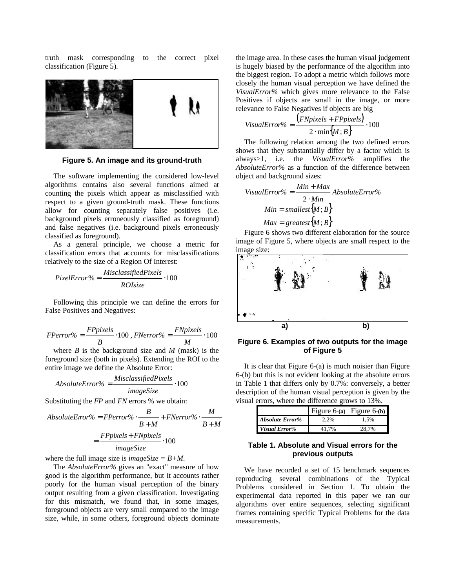truth mask corresponding to the correct pixel classification (Figure 5).



**Figure 5. An image and its ground-truth**

The software implementing the considered low-level algorithms contains also several functions aimed at counting the pixels which appear as misclassified with respect to a given ground-truth mask. These functions allow for counting separately false positives (i.e. background pixels erroneously classified as foreground) and false negatives (i.e. background pixels erroneously classified as foreground).

As a general principle, we choose a metric for classification errors that accounts for misclassifications relatively to the size of a Region Of Interest:

$$
PixelError\% = \frac{Misclassifiedpixels}{ROIsize} \cdot 100
$$

Following this principle we can define the errors for False Positives and Negatives:

$$
FPerror\% = \frac{FPyixels}{B} \cdot 100, \, \text{FNerror\%} = \frac{FNpixels}{M} \cdot 100
$$

where  $B$  is the background size and  $M$  (mask) is the foreground size (both in pixels). Extending the ROI to the entire image we define the Absolute Error:

$$
Absolute Error\% = \frac{Misclassified pixels}{imageSize} \cdot 100
$$

Substituting the *FP* and *FN* errors % we obtain:

AbsoluteError% = 
$$
FPerror\%
$$
  $\cdot$   $\frac{B}{B+M}$  +  $FNerror\%$   $\cdot$   $\frac{M}{B+M}$   
=  $\frac{FPpixels + FNpixels}{imageSize} \cdot 100$ 

where the full image size is *imageSize = B+M*.

The *AbsoluteError%* gives an "exact" measure of how good is the algorithm performance, but it accounts rather poorly for the human visual perception of the binary output resulting from a given classification. Investigating for this mismatch, we found that, in some images, foreground objects are very small compared to the image size, while, in some others, foreground objects dominate

the image area. In these cases the human visual judgement is hugely biased by the performance of the algorithm into the biggest region. To adopt a metric which follows more closely the human visual perception we have defined the *VisualError%* which gives more relevance to the False Positives if objects are small in the image, or more relevance to False Negatives if objects are big

$$
VisualError\% = \frac{(FNpixels + FPpixels)}{2 \cdot min\{M; B\}} \cdot 100
$$

The following relation among the two defined errors shows that they substantially differ by a factor which is always>1, i.e. the *VisualError%* amplifies the *AbsoluteError%* as a function of the difference between object and background sizes:

$$
VisualError\% = \frac{Min + Max}{2 \cdot Min} AbsoluteError\%
$$
  

$$
Min = smallest\{M; B\}
$$
  

$$
Max = greatest\{M; B\}
$$

Figure 6 shows two different elaboration for the source image of Figure 5, where objects are small respect to the image size:



**Figure 6. Examples of two outputs for the image of Figure 5**

| It is clear that Figure 6-(a) is much noisier than Figure    |
|--------------------------------------------------------------|
| 6-(b) but this is not evident looking at the absolute errors |
| in Table 1 that differs only by 0.7%: conversely, a better   |
| description of the human visual perception is given by the   |
| visual errors, where the difference grows to 13%.            |

|                        |      | Figure 6-(a) Figure 6-(b) |
|------------------------|------|---------------------------|
| <b>Absolute Error%</b> | 2.2% | 1.5%                      |
| Visual Error%          | 70,  | 7%                        |

# **Table 1. Absolute and Visual errors for the previous outputs**

We have recorded a set of 15 benchmark sequences reproducing several combinations of the Typical Problems considered in Section 1. To obtain the experimental data reported in this paper we ran our algorithms over entire sequences, selecting significant frames containing specific Typical Problems for the data measurements.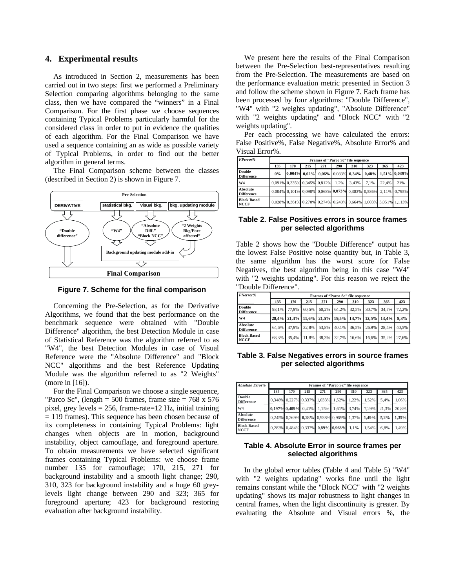## **4. Experimental results**

As introduced in Section 2, measurements has been carried out in two steps: first we performed a Preliminary Selection comparing algorithms belonging to the same class, then we have compared the "winners" in a Final Comparison. For the first phase we choose sequences containing Typical Problems particularly harmful for the considered class in order to put in evidence the qualities of each algorithm. For the Final Comparison we have used a sequence containing an as wide as possible variety of Typical Problems, in order to find out the better algorithm in general terms.

The Final Comparison scheme between the classes (described in Section 2) is shown in Figure 7.



**Figure 7. Scheme for the final comparison**

Concerning the Pre-Selection, as for the Derivative Algorithms, we found that the best performance on the benchmark sequence were obtained with "Double Difference" algorithm, the best Detection Module in case of Statistical Reference was the algorithm referred to as "W4", the best Detection Modules in case of Visual Reference were the "Absolute Difference" and "Block NCC" algorithms and the best Reference Updating Module was the algorithm referred to as "2 Weights" (more in [16]).

For the Final Comparison we choose a single sequence, "Parco Sc", (length = 500 frames, frame size =  $768 \times 576$ pixel, grey levels = 256, frame-rate=12 Hz, initial training = 119 frames). This sequence has been chosen because of its completeness in containing Typical Problems: light changes when objects are in motion, background instability, object camouflage, and foreground aperture. To obtain measurements we have selected significant frames containing Typical Problems: we choose frame number 135 for camouflage; 170, 215, 271 for background instability and a smooth light change; 290, 310, 323 for background instability and a huge 60 greylevels light change between 290 and 323; 365 for foreground aperture; 423 for background restoring evaluation after background instability.

We present here the results of the Final Comparison between the Pre-Selection best-representatives resulting from the Pre-Selection. The measurements are based on the performance evaluation metric presented in Section 3 and follow the scheme shown in Figure 7. Each frame has been processed by four algorithms: "Double Difference", "W4" with "2 weights updating", "Absolute Difference" with "2 weights updating" and "Block NCC" with "2 weights updating".

Per each processing we have calculated the errors: False Positive%, False Negative%, Absolute Error% and Visual Error%.

| FPerror%                           | Frames of "Parco Sc" file sequence |                                                                |     |     |      |       |      |       |     |  |
|------------------------------------|------------------------------------|----------------------------------------------------------------|-----|-----|------|-------|------|-------|-----|--|
|                                    | 135                                | 170                                                            | 215 | 271 | 290  | 310   | 323  | 365   | 423 |  |
| <b>Double</b><br><b>Difference</b> | 0%                                 |                                                                |     |     |      |       |      |       |     |  |
| W <sub>4</sub>                     |                                    | 0.091% 0.335% 0.345% 0.812%                                    |     |     | 1.2% | 3.43% | 7.1% | 22.4% | 21% |  |
| Absolute<br><b>Difference</b>      |                                    | 0,004% 0,101% 0,090% 0,068% 0,073% 0,383% 0,586% 2,11% 0,795%  |     |     |      |       |      |       |     |  |
| <b>Block Based</b><br><b>NCCF</b>  |                                    | 0,028% 0,361% 0,270% 0,274% 0,240% 0,664% 1,003% 3,051% 1,113% |     |     |      |       |      |       |     |  |

### **Table 2. False Positives errors in source frames per selected algorithms**

Table 2 shows how the "Double Difference" output has the lowest False Positive noise quantity but, in Table 3, the same algorithm has the worst score for False Negatives, the best algorithm being in this case "W4" with "2 weights updating". For this reason we reject the "Double Difference".

| <b>FNerror%</b>                      |       | Frames of "Parco Sc" file sequence |       |                         |       |       |       |       |       |  |  |
|--------------------------------------|-------|------------------------------------|-------|-------------------------|-------|-------|-------|-------|-------|--|--|
|                                      | 135   | 170                                | 215   | 271                     | 290   | 310   | 323   | 365   | 423   |  |  |
| <b>Double</b><br><b>Difference</b>   | 93.1% | 77.9%                              | 60.5% | 60.2%                   | 64.2% | 32.5% | 30.7% | 34.7% | 72.2% |  |  |
| W <sub>4</sub>                       | 28.4% | 21.4%                              |       | 11.6% 21.5% 19.5% 14.7% |       |       | 12.5% | 13.4% | 9.3%  |  |  |
| <b>Absolute</b><br><b>Difference</b> | 64.6% | 47.9%                              | 32.8% | 53.8%                   | 40.1% | 36.5% | 26.9% | 28.4% | 40.5% |  |  |
| <b>Block Based</b><br><b>NCCF</b>    | 68.3% | 35.4%                              | 11.8% | 38.3%                   | 32.7% | 16.6% | 16.6% | 35.2% | 27.6% |  |  |

**Table 3. False Negatives errors in source frames per selected algorithms**

| <b>Absolute Error%</b>               | Frames of "Parco Sc" file sequence |               |          |       |                                   |       |             |         |          |
|--------------------------------------|------------------------------------|---------------|----------|-------|-----------------------------------|-------|-------------|---------|----------|
|                                      | 135                                | 170           | 215      | 271   | 290                               | 310   | 323         | 365     | 423      |
| <b>Double</b><br><b>Difference</b>   |                                    |               |          |       | 0,348% 0,227% 0,337% 1,033% 1,52% | 1.22% | 1.52%       | 5.4%    | 1.06%    |
| W <sub>4</sub>                       |                                    | 0.197% 0.409% | $0.41\%$ | 1.15% | 1.61%                             | 3.74% | 7.29%       | 21.3%   | 20.8%    |
| <b>Absolute</b><br><b>Difference</b> |                                    | 0.245% 0.269% |          |       | 0,28% 0,938% 0,969%               |       | 1,37% 1,49% | $5.2\%$ | $1.35\%$ |
| <b>Block Based</b><br><b>NCCF</b>    |                                    |               |          |       | 0,283% 0,484% 0,337% 0,89% 0,968% | 1,1%  | 1.54%       | 6.8%    | 1.49%    |

# **Table 4. Absolute Error in source frames per selected algorithms**

In the global error tables (Table 4 and Table 5) "W4" with "2 weights updating" works fine until the light remains constant while the "Block NCC" with "2 weights updating" shows its major robustness to light changes in central frames, when the light discontinuity is greater. By evaluating the Absolute and Visual errors %, the